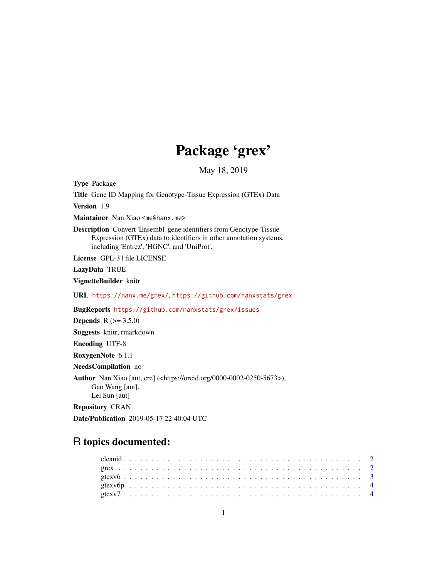## Package 'grex'

May 18, 2019

Type Package

Title Gene ID Mapping for Genotype-Tissue Expression (GTEx) Data

Version 1.9

Maintainer Nan Xiao <me@nanx.me>

Description Convert 'Ensembl' gene identifiers from Genotype-Tissue Expression (GTEx) data to identifiers in other annotation systems, including 'Entrez', 'HGNC', and 'UniProt'.

License GPL-3 | file LICENSE

LazyData TRUE

VignetteBuilder knitr

URL <https://nanx.me/grex/>, <https://github.com/nanxstats/grex>

BugReports <https://github.com/nanxstats/grex/issues>

**Depends** R  $(>= 3.5.0)$ 

Suggests knitr, rmarkdown

Encoding UTF-8

RoxygenNote 6.1.1

NeedsCompilation no

Author Nan Xiao [aut, cre] (<https://orcid.org/0000-0002-0250-5673>), Gao Wang [aut], Lei Sun [aut]

Repository CRAN

Date/Publication 2019-05-17 22:40:04 UTC

### R topics documented: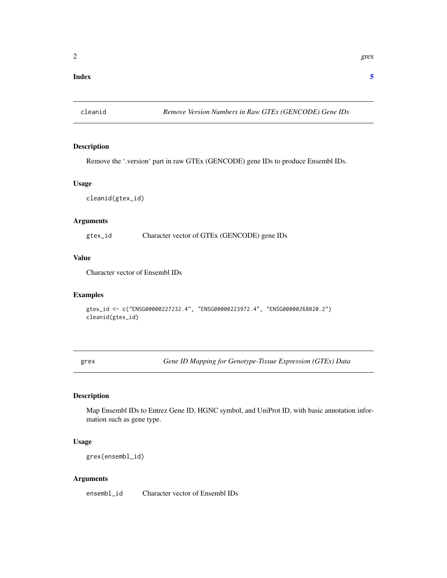#### <span id="page-1-0"></span>**Index** [5](#page-4-0). The second state of the second state of the second state of the second state of the second state of the second state of the second state of the second state of the second state of the second state of the second

cleanid *Remove Version Numbers in Raw GTEx (GENCODE) Gene IDs*

#### Description

Remove the '.version' part in raw GTEx (GENCODE) gene IDs to produce Ensembl IDs.

#### Usage

cleanid(gtex\_id)

#### Arguments

gtex\_id Character vector of GTEx (GENCODE) gene IDs

#### Value

Character vector of Ensembl IDs

#### Examples

```
gtex_id <- c("ENSG00000227232.4", "ENSG00000223972.4", "ENSG00000268020.2")
cleanid(gtex_id)
```
grex *Gene ID Mapping for Genotype-Tissue Expression (GTEx) Data*

#### Description

Map Ensembl IDs to Entrez Gene ID, HGNC symbol, and UniProt ID, with basic annotation information such as gene type.

#### Usage

grex(ensembl\_id)

#### Arguments

ensembl\_id Character vector of Ensembl IDs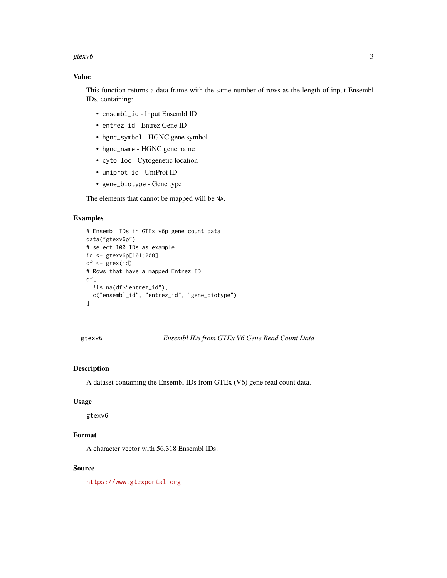#### <span id="page-2-0"></span>gtexv6  $\sim$  3

#### Value

This function returns a data frame with the same number of rows as the length of input Ensembl IDs, containing:

- ensembl\_id Input Ensembl ID
- entrez\_id Entrez Gene ID
- hgnc\_symbol HGNC gene symbol
- hgnc\_name HGNC gene name
- cyto\_loc Cytogenetic location
- uniprot\_id UniProt ID
- gene\_biotype Gene type

The elements that cannot be mapped will be NA.

#### Examples

```
# Ensembl IDs in GTEx v6p gene count data
data("gtexv6p")
# select 100 IDs as example
id <- gtexv6p[101:200]
df <- grex(id)
# Rows that have a mapped Entrez ID
df[
  !is.na(df$"entrez_id"),
  c("ensembl_id", "entrez_id", "gene_biotype")
]
```
gtexv6 *Ensembl IDs from GTEx V6 Gene Read Count Data*

#### Description

A dataset containing the Ensembl IDs from GTEx (V6) gene read count data.

#### Usage

gtexv6

#### Format

A character vector with 56,318 Ensembl IDs.

#### Source

<https://www.gtexportal.org>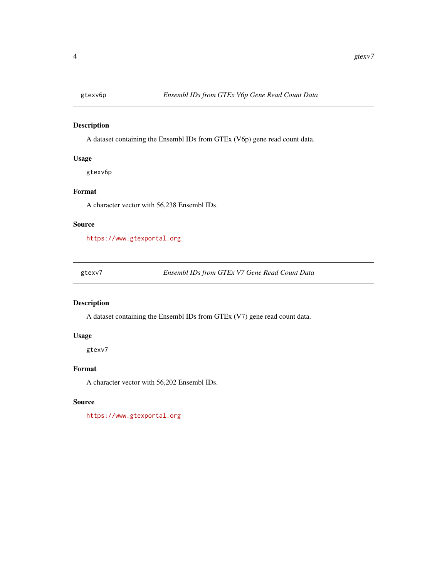<span id="page-3-0"></span>

#### Description

A dataset containing the Ensembl IDs from GTEx (V6p) gene read count data.

#### Usage

gtexv6p

#### Format

A character vector with 56,238 Ensembl IDs.

#### Source

<https://www.gtexportal.org>

gtexv7 *Ensembl IDs from GTEx V7 Gene Read Count Data*

#### Description

A dataset containing the Ensembl IDs from GTEx (V7) gene read count data.

#### Usage

gtexv7

#### Format

A character vector with 56,202 Ensembl IDs.

#### Source

<https://www.gtexportal.org>